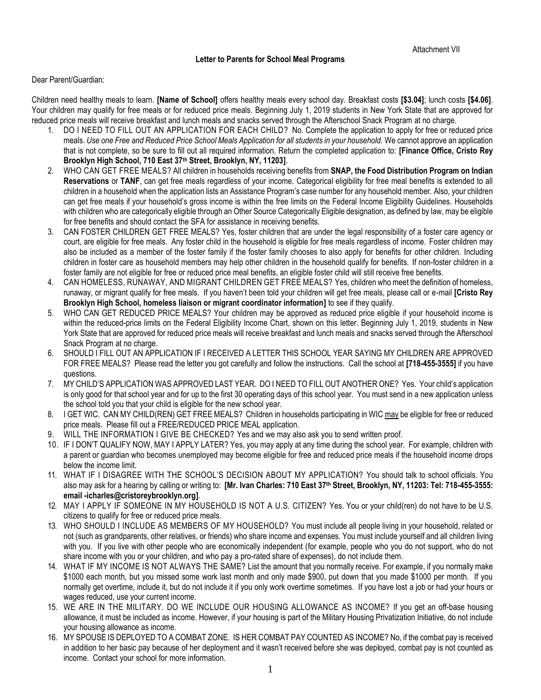## Dear Parent/Guardian:

Children need healthy meals to learn. **[Name of School]** offers healthy meals every school day. Breakfast costs **[\$3.04]**; lunch costs **[\$4.06]**. Your children may qualify for free meals or for reduced price meals. Beginning July 1, 2019 students in New York State that are approved for reduced price meals will receive breakfast and lunch meals and snacks served through the Afterschool Snack Program at no charge.

- 1. DO I NEED TO FILL OUT AN APPLICATION FOR EACH CHILD? No. Complete the application to apply for free or reduced price meals. *Use one Free and Reduced Price School Meals Application for all students in your household.* We cannot approve an application that is not complete, so be sure to fill out all required information. Return the completed application to: **[Finance Office, Cristo Rey Brooklyn High School, 710 East 37th Street, Brooklyn, NY, 11203]**.
- 2. WHO CAN GET FREE MEALS? All children in households receiving benefits from **SNAP, the Food Distribution Program on Indian Reservations** or **TANF**, can get free meals regardless of your income. Categorical eligibility for free meal benefits is extended to all children in a household when the application lists an Assistance Program's case number for any household member. Also, your children can get free meals if your household's gross income is within the free limits on the Federal Income Eligibility Guidelines. Households with children who are categorically eligible through an Other Source Categorically Eligible designation, as defined by law, may be eligible for free benefits and should contact the SFA for assistance in receiving benefits.
- 3. CAN FOSTER CHILDREN GET FREE MEALS? Yes, foster children that are under the legal responsibility of a foster care agency or court, are eligible for free meals. Any foster child in the household is eligible for free meals regardless of income. Foster children may also be included as a member of the foster family if the foster family chooses to also apply for benefits for other children. Including children in foster care as household members may help other children in the household qualify for benefits. If non-foster children in a foster family are not eligible for free or reduced price meal benefits, an eligible foster child will still receive free benefits.
- 4. CAN HOMELESS, RUNAWAY, AND MIGRANT CHILDREN GET FREE MEALS? Yes, children who meet the definition of homeless, runaway, or migrant qualify for free meals. If you haven't been told your children will get free meals, please call or e-mail **[Cristo Rey Brooklyn High School, homeless liaison or migrant coordinator information]** to see if they qualify.
- 5. WHO CAN GET REDUCED PRICE MEALS? Your children may be approved as reduced price eligible if your household income is within the reduced-price limits on the Federal Eligibility Income Chart, shown on this letter. Beginning July 1, 2019, students in New York State that are approved for reduced price meals will receive breakfast and lunch meals and snacks served through the Afterschool Snack Program at no charge.
- 6. SHOULD I FILL OUT AN APPLICATION IF I RECEIVED A LETTER THIS SCHOOL YEAR SAYING MY CHILDREN ARE APPROVED FOR FREE MEALS? Please read the letter you got carefully and follow the instructions. Call the school at **[718-455-3555]** if you have questions.
- 7. MY CHILD'S APPLICATION WAS APPROVED LAST YEAR. DO I NEED TO FILL OUT ANOTHER ONE? Yes. Your child's application is only good for that school year and for up to the first 30 operating days of this school year. You must send in a new application unless the school told you that your child is eligible for the new school year.
- 8. I GET WIC. CAN MY CHILD(REN) GET FREE MEALS? Children in households participating in WIC may be eligible for free or reduced price meals. Please fill out a FREE/REDUCED PRICE MEAL application.
- WILL THE INFORMATION I GIVE BE CHECKED? Yes and we may also ask you to send written proof.
- 10. IF I DON'T QUALIFY NOW, MAY I APPLY LATER? Yes, you may apply at any time during the school year. For example, children with a parent or guardian who becomes unemployed may become eligible for free and reduced price meals if the household income drops below the income limit.
- 11. WHAT IF I DISAGREE WITH THE SCHOOL'S DECISION ABOUT MY APPLICATION? You should talk to school officials. You also may ask for a hearing by calling or writing to: **[Mr. Ivan Charles: 710 East 37th Street, Brooklyn, NY, 11203: Tel: 718-455-3555: email -icharles@cristoreybrooklyn.org]***.*
- 12. MAY I APPLY IF SOMEONE IN MY HOUSEHOLD IS NOT A U.S. CITIZEN? Yes. You or your child(ren) do not have to be U.S. citizens to qualify for free or reduced price meals.
- 13. WHO SHOULD I INCLUDE AS MEMBERS OF MY HOUSEHOLD? You must include all people living in your household, related or not (such as grandparents, other relatives, or friends) who share income and expenses. You must include yourself and all children living with you. If you live with other people who are economically independent (for example, people who you do not support, who do not share income with you or your children, and who pay a pro-rated share of expenses), do not include them.
- 14. WHAT IF MY INCOME IS NOT ALWAYS THE SAME? List the amount that you normally receive. For example, if you normally make \$1000 each month, but you missed some work last month and only made \$900, put down that you made \$1000 per month. If you normally get overtime, include it, but do not include it if you only work overtime sometimes. If you have lost a job or had your hours or wages reduced, use your current income.
- 15. WE ARE IN THE MILITARY. DO WE INCLUDE OUR HOUSING ALLOWANCE AS INCOME? If you get an off-base housing allowance, it must be included as income. However, if your housing is part of the Military Housing Privatization Initiative, do not include your housing allowance as income.
- 16. MY SPOUSE IS DEPLOYED TO A COMBAT ZONE. IS HER COMBAT PAY COUNTED AS INCOME? No, if the combat pay is received in addition to her basic pay because of her deployment and it wasn't received before she was deployed, combat pay is not counted as income. Contact your school for more information.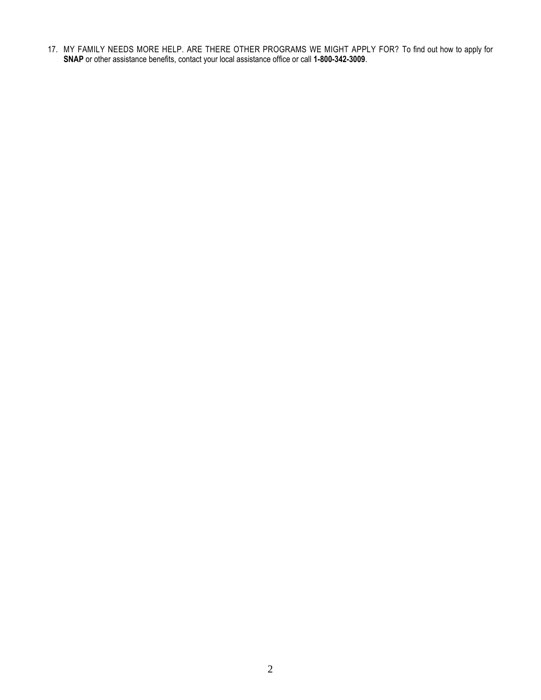17. MY FAMILY NEEDS MORE HELP. ARE THERE OTHER PROGRAMS WE MIGHT APPLY FOR? To find out how to apply for **SNAP** or other assistance benefits, contact your local assistance office or call **1-800-342-3009**.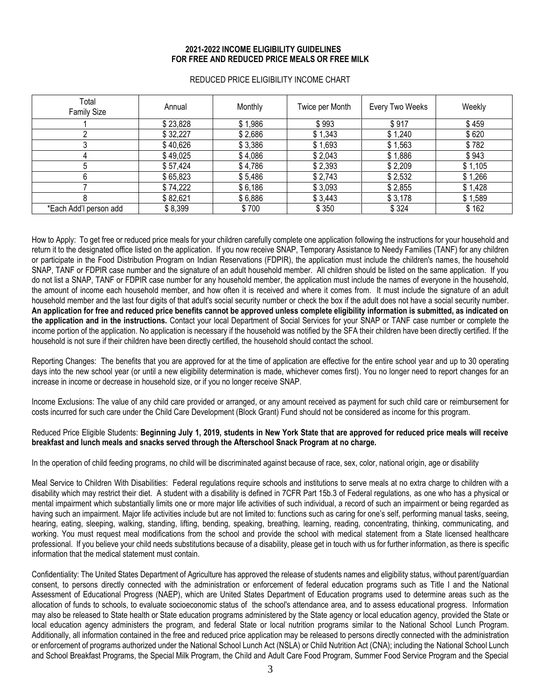## **2021-2022 INCOME ELIGIBILITY GUIDELINES FOR FREE AND REDUCED PRICE MEALS OR FREE MILK**

| Total<br><b>Family Size</b> | Annual   | Monthly | Twice per Month | Every Two Weeks | Weekly  |
|-----------------------------|----------|---------|-----------------|-----------------|---------|
|                             | \$23,828 | \$1,986 | \$993           | \$917           | \$459   |
|                             | \$32,227 | \$2,686 | \$1,343         | \$1,240         | \$620   |
|                             | \$40,626 | \$3,386 | \$1,693         | \$1,563         | \$782   |
|                             | \$49,025 | \$4,086 | \$2,043         | \$1,886         | \$943   |
|                             | \$57,424 | \$4,786 | \$2,393         | \$2,209         | \$1,105 |
|                             | \$65,823 | \$5,486 | \$2,743         | \$2,532         | \$1,266 |
|                             | \$74,222 | \$6,186 | \$3,093         | \$2,855         | \$1,428 |
|                             | \$82,621 | \$6,886 | \$3,443         | \$3,178         | \$1,589 |
| *Each Add'l person add      | \$8,399  | \$700   | \$350           | \$324           | \$162   |

## REDUCED PRICE ELIGIBILITY INCOME CHART

How to Apply: To get free or reduced price meals for your children carefully complete one application following the instructions for your household and return it to the designated office listed on the application. If you now receive SNAP, Temporary Assistance to Needy Families (TANF) for any children or participate in the Food Distribution Program on Indian Reservations (FDPIR), the application must include the children's names, the household SNAP, TANF or FDPIR case number and the signature of an adult household member. All children should be listed on the same application. If you do not list a SNAP, TANF or FDPIR case number for any household member, the application must include the names of everyone in the household, the amount of income each household member, and how often it is received and where it comes from. It must include the signature of an adult household member and the last four digits of that adult's social security number or check the box if the adult does not have a social security number. **An application for free and reduced price benefits cannot be approved unless complete eligibility information is submitted, as indicated on the application and in the instructions.** Contact your local Department of Social Services for your SNAP or TANF case number or complete the income portion of the application. No application is necessary if the household was notified by the SFA their children have been directly certified. If the household is not sure if their children have been directly certified, the household should contact the school.

Reporting Changes: The benefits that you are approved for at the time of application are effective for the entire school year and up to 30 operating days into the new school year (or until a new eligibility determination is made, whichever comes first). You no longer need to report changes for an increase in income or decrease in household size, or if you no longer receive SNAP.

Income Exclusions: The value of any child care provided or arranged, or any amount received as payment for such child care or reimbursement for costs incurred for such care under the Child Care Development (Block Grant) Fund should not be considered as income for this program.

## Reduced Price Eligible Students: **Beginning July 1, 2019, students in New York State that are approved for reduced price meals will receive breakfast and lunch meals and snacks served through the Afterschool Snack Program at no charge.**

In the operation of child feeding programs, no child will be discriminated against because of race, sex, color, national origin, age or disability

Meal Service to Children With Disabilities: Federal regulations require schools and institutions to serve meals at no extra charge to children with a disability which may restrict their diet. A student with a disability is defined in 7CFR Part 15b.3 of Federal regulations, as one who has a physical or mental impairment which substantially limits one or more major life activities of such individual, a record of such an impairment or being regarded as having such an impairment. Major life activities include but are not limited to: functions such as caring for one's self, performing manual tasks, seeing, hearing, eating, sleeping, walking, standing, lifting, bending, speaking, breathing, learning, reading, concentrating, thinking, communicating, and working. You must request meal modifications from the school and provide the school with medical statement from a State licensed healthcare professional. If you believe your child needs substitutions because of a disability, please get in touch with us for further information, as there is specific information that the medical statement must contain.

Confidentiality: The United States Department of Agriculture has approved the release of students names and eligibility status, without parent/guardian consent, to persons directly connected with the administration or enforcement of federal education programs such as Title I and the National Assessment of Educational Progress (NAEP), which are United States Department of Education programs used to determine areas such as the allocation of funds to schools, to evaluate socioeconomic status of the school's attendance area, and to assess educational progress. Information may also be released to State health or State education programs administered by the State agency or local education agency, provided the State or local education agency administers the program, and federal State or local nutrition programs similar to the National School Lunch Program. Additionally, all information contained in the free and reduced price application may be released to persons directly connected with the administration or enforcement of programs authorized under the National School Lunch Act (NSLA) or Child Nutrition Act (CNA); including the National School Lunch and School Breakfast Programs, the Special Milk Program, the Child and Adult Care Food Program, Summer Food Service Program and the Special